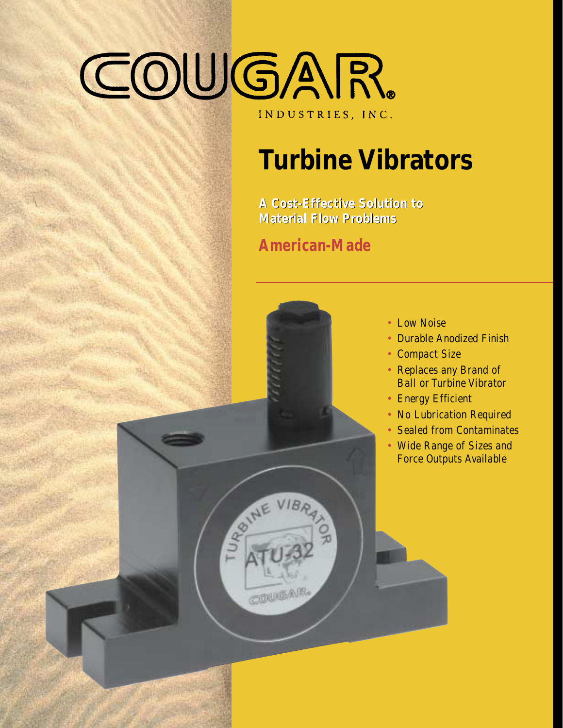# COUGAR. INDUSTRIES, INC.

# **Turbine Vibrators**

**A Cost-Effective Solution to A Cost-Effective Solution to Material Flow Problems Material Flow Problems**

**American-Made**



- Low Noise
- Durable Anodized Finish
- Compact Size
- Replaces any Brand of Ball or Turbine Vibrator
- Energy Efficient
- No Lubrication Required
- Sealed from Contaminates
- Wide Range of Sizes and Force Outputs Available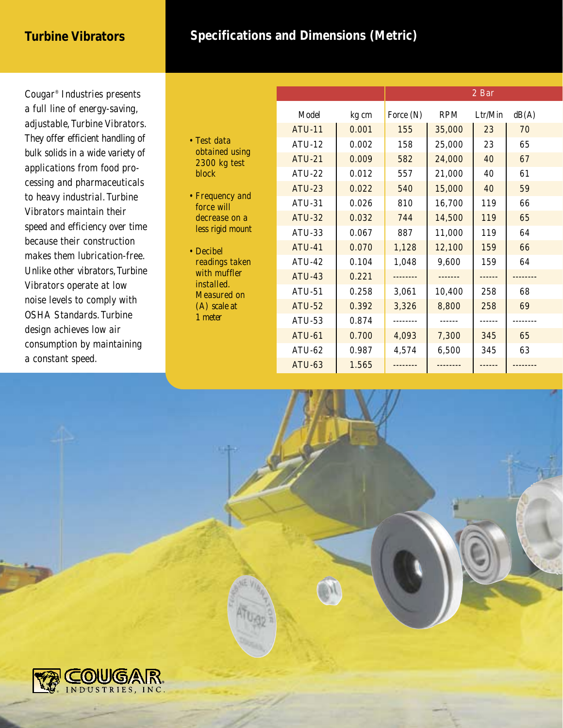#### **Turbine Vibrators**

### **Specifications and Dimensions (Metric)**

Cougar® Industries presents a full line of energy-saving, adjustable, Turbine Vibrators. They offer efficient handling of bulk solids in a wide variety of applications from food processing and pharmaceuticals to heavy industrial. Turbine Vibrators maintain their speed and efficiency over time because their construction makes them lubrication-free. Unlike other vibrators,Turbine Vibrators operate at low noise levels to comply with OSHA Standards.Turbine design achieves low air consumption by maintaining a constant speed.

| • Test data    |
|----------------|
| obtained using |
| 2300 kg test   |
| block          |

- Frequency and force will decrease on a less rigid mount
- Decibel readings taken with muffler installed. Measured on (A) scale at 1 meter

|               |       | 2 Bar     |              |         |       |  |
|---------------|-------|-----------|--------------|---------|-------|--|
| Model         | kg cm | Force (N) | <b>RPM</b>   | Ltr/Min | dB(A) |  |
| <b>ATU-11</b> | 0.001 | 155       | 35,000       | 23      | 70    |  |
| <b>ATU-12</b> | 0.002 | 158       | 25,000       | 23      | 65    |  |
| <b>ATU-21</b> | 0.009 | 582       | 24,000       | 40      | 67    |  |
| <b>ATU-22</b> | 0.012 | 557       | 21,000       | 40      | 61    |  |
| <b>ATU-23</b> | 0.022 | 540       | 15,000       | 40      | 59    |  |
| ATU-31        | 0.026 | 810       | 16,700       | 119     | 66    |  |
| <b>ATU-32</b> | 0.032 | 744       | 14,500       | 119     | 65    |  |
| ATU-33        | 0.067 | 887       | 11,000       | 119     | 64    |  |
| <b>ATU-41</b> | 0.070 | 1,128     | 12,100       | 159     | 66    |  |
| <b>ATU-42</b> | 0.104 | 1,048     | 9,600        | 159     |       |  |
| <b>ATU-43</b> | 0.221 |           |              |         |       |  |
| <b>ATU-51</b> | 0.258 | 3,061     | 10,400       | 258     | 68    |  |
| <b>ATU-52</b> | 0.392 | 3,326     | 8,800        | 258     | 69    |  |
| ATU-53        | 0.874 |           |              |         |       |  |
| <b>ATU-61</b> | 0.700 | 4,093     | 7,300        | 345     | 65    |  |
| ATU-62        | 0.987 | 4,574     | 345<br>6,500 |         | 63    |  |
| <b>ATU-63</b> | 1.565 |           |              |         |       |  |

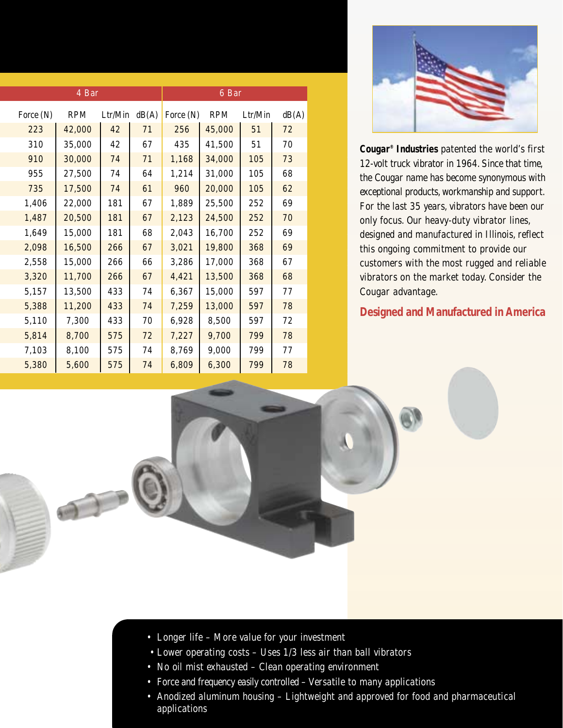|           | 4 Bar      | 6 Bar   |       |           |            |         |       |
|-----------|------------|---------|-------|-----------|------------|---------|-------|
| Force (N) | <b>RPM</b> | Ltr/Min | dB(A) | Force (N) | <b>RPM</b> | Ltr/Min | dB(A) |
| 223       | 42,000     | 42      | 71    | 256       | 45,000     | 51      | 72    |
| 310       | 35,000     | 42      | 67    | 435       | 41,500     | 51      | 70    |
| 910       | 30,000     | 74      | 71    | 1,168     | 34,000     | 105     | 73    |
| 955       | 27,500     | 74      | 64    | 1,214     | 31,000     | 105     | 68    |
| 735       | 17,500     | 74      | 61    | 960       | 20,000     | 105     | 62    |
| 1,406     | 22,000     | 181     | 67    | 1,889     | 25,500     | 252     | 69    |
| 1,487     | 20,500     | 181     | 67    | 2,123     | 24,500     | 252     | 70    |
| 1,649     | 15,000     | 181     | 68    | 2,043     | 16,700     | 252     | 69    |
| 2,098     | 16,500     | 266     | 67    | 3,021     | 19,800     | 368     | 69    |
| 2,558     | 15,000     | 266     | 66    | 3,286     | 17,000     | 368     | 67    |
| 3,320     | 11,700     | 266     | 67    | 4,421     | 13,500     | 368     | 68    |
| 5,157     | 13,500     | 433     | 74    | 6,367     | 15,000     | 597     | 77    |
| 5,388     | 11,200     | 433     | 74    | 7,259     | 13,000     | 597     | 78    |
| 5,110     | 7,300      | 433     | 70    | 6,928     | 8,500      | 597     | 72    |
| 5,814     | 8,700      | 575     | 72    | 7,227     | 9,700      | 799     | 78    |
| 7,103     | 8,100      | 575     | 74    | 8,769     | 9,000      | 799     | 77    |
| 5,380     | 5,600      | 575     | 74    | 6,809     | 6,300      | 799     | 78    |



**Cougar® Industries** patented the world's first 12-volt truck vibrator in 1964. Since that time, the Cougar name has become synonymous with exceptional products, workmanship and support. For the last 35 years, vibrators have been our only focus. Our heavy-duty vibrator lines, designed and manufactured in Illinois, reflect this ongoing commitment to provide our customers with the most rugged and reliable vibrators on the market today. Consider the Cougar advantage.

#### **Designed and Manufactured in America**

- Longer life More value for your investment
- Lower operating costs Uses 1/3 less air than ball vibrators
- No oil mist exhausted Clean operating environment
- Force and frequency easily controlled Versatile to many applications
- Anodized aluminum housing Lightweight and approved for food and pharmaceutical applications